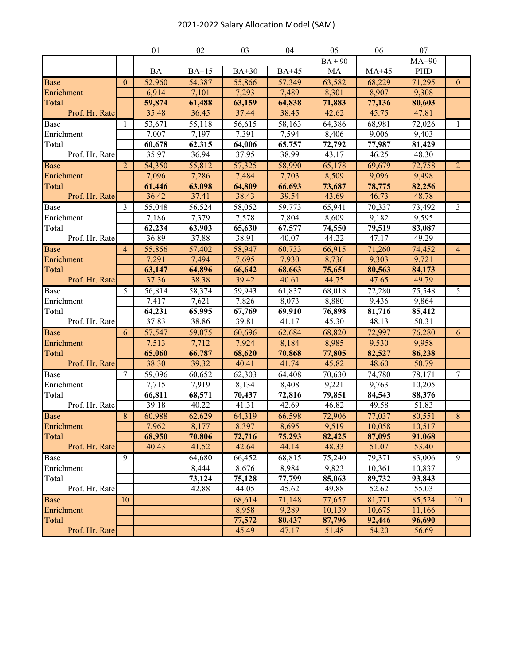## 2021-2022 Salary Allocation Model (SAM)

|                            |                | 01              | 02              | 03              | 04              | 05              | 06              | 07               |                |
|----------------------------|----------------|-----------------|-----------------|-----------------|-----------------|-----------------|-----------------|------------------|----------------|
|                            |                |                 |                 |                 |                 | $BA + 90$       |                 | $MA+90$          |                |
|                            |                | BA              | $BA+15$         | $BA+30$         | $BA+45$         | MA              | $MA+45$         | PHD              |                |
| <b>Base</b>                | $\theta$       | 52,960          | 54,387          | 55,866          | 57,349          | 63,582          | 68,229          | 71,295           | $\theta$       |
| Enrichment                 |                | 6,914           | 7,101           | 7,293           | 7,489           | 8,301           | 8,907           | 9,308            |                |
| <b>Total</b>               |                | 59,874          | 61,488          | 63,159          | 64,838          | 71,883          | 77,136          | 80,603           |                |
| Prof. Hr. Rate             |                | 35.48           | 36.45           | 37.44           | 38.45           | 42.62           | 45.75           | 47.81            |                |
| Base                       | 1              | 53,671          | 55,118          | 56,615          | 58,163          | 64,386          | 68,981          | 72,026           | $\mathbf{1}$   |
| Enrichment                 |                | 7,007           | 7,197           | 7,391           | 7,594           | 8,406           | 9,006           | 9,403            |                |
| <b>Total</b>               |                | 60,678          | 62,315          | 64,006          | 65,757          | 72,792          | 77,987          | 81,429           |                |
| Prof. Hr. Rate             |                | 35.97           | 36.94           | 37.95           | 38.99           | 43.17           | 46.25           | 48.30            |                |
| <b>Base</b>                | $\overline{2}$ | 54,350          | 55,812          | 57,325          | 58,990          | 65,178          | 69,679          | 72,758           | $\overline{2}$ |
| Enrichment                 |                | 7,096           | 7,286           | 7,484           | 7,703           | 8,509           | 9,096           | 9,498            |                |
| <b>Total</b>               |                | 61,446          | 63,098          | 64,809          | 66,693          | 73,687          | 78,775          | 82,256           |                |
| Prof. Hr. Rate             |                | 36.42           | 37.41           | 38.43           | 39.54           | 43.69           | 46.73           | 48.78            |                |
| Base                       | $\mathfrak{Z}$ | 55,048          | 56,524          | 58,052          | 59,773          | 65,941          | 70,337          | 73,492           | 3              |
| Enrichment                 |                | 7,186           | 7,379           | 7,578           | 7,804           | 8,609           | 9,182           | 9,595            |                |
| <b>Total</b>               |                | 62,234          | 63,903          | 65,630          | 67,577          | 74,550          | 79,519          | 83,087           |                |
| Prof. Hr. Rate             |                | 36.89           | 37.88           | 38.91           | 40.07           | 44.22           | 47.17           | 49.29            |                |
| <b>Base</b>                | $\overline{4}$ | 55,856          | 57,402          | 58,947          | 60,733          | 66,915          | 71,260          | 74,452           | $\overline{4}$ |
| Enrichment                 |                | 7,291           | 7,494           | 7,695           | 7,930           | 8,736           | 9,303           | 9,721            |                |
| <b>Total</b>               |                | 63,147          | 64,896          | 66,642          | 68,663          | 75,651          | 80,563          | 84,173           |                |
| Prof. Hr. Rate             |                | 37.36           | 38.38           | 39.42           | 40.61           | 44.75           | 47.65           | 49.79            |                |
| Base                       | $\overline{5}$ | 56,814          | 58,374          | 59,943          | 61,837          | 68,018          | 72,280          | 75,548           | $\overline{5}$ |
| Enrichment                 |                | 7,417           | 7,621           | 7,826           | 8,073           | 8,880           | 9,436           | 9,864            |                |
| <b>Total</b>               |                | 64,231          | 65,995          | 67,769          | 69,910          | 76,898          | 81,716          | 85,412           |                |
| Prof. Hr. Rate             |                | 37.83           | 38.86           | 39.81           | 41.17           | 45.30           | 48.13           | 50.31            |                |
| Base                       | 6              | 57,547          | 59,075          | 60,696          | 62,684          | 68,820          | 72,997          | 76,280           | 6              |
| Enrichment                 |                | 7,513           | 7,712           | 7,924           | 8,184           | 8,985           | 9,530           | 9,958            |                |
| <b>Total</b>               |                | 65,060          | 66,787          | 68,620          | 70,868          | 77,805          | 82,527          | 86,238           |                |
| Prof. Hr. Rate             |                | 38.30           | 39.32           | 40.41           | 41.74           | 45.82           | 48.60           | 50.79            |                |
| Base                       | 7              | 59,096          | 60,652          | 62,303<br>8,134 | 64,408          | 70,630          | 74,780          | 78,171           | $\overline{7}$ |
| Enrichment<br><b>Total</b> |                | 7,715<br>66,811 | 7,919<br>68,571 | 70,437          | 8,408<br>72,816 | 9,221<br>79,851 | 9,763<br>84,543 | 10,205<br>88,376 |                |
| Prof. Hr. Rate             |                | 39.18           | 40.22           | 41.31           | 42.69           | 46.82           | 49.58           | 51.83            |                |
| <b>Base</b>                | $\overline{8}$ | 60,988          | 62,629          | 64,319          | 66,598          | 72,906          | 77,037          | 80,551           | $\overline{8}$ |
| Enrichment                 |                | 7,962           | 8,177           | 8,397           | 8,695           | 9,519           | 10,058          | 10,517           |                |
| <b>Total</b>               |                | 68,950          | 70,806          | 72,716          | 75,293          | 82,425          | 87,095          | 91,068           |                |
| Prof. Hr. Rate             |                | 40.43           | 41.52           | 42.64           | 44.14           | 48.33           | 51.07           | 53.40            |                |
| Base                       | $\overline{9}$ |                 | 64,680          | 66,452          | 68,815          | 75,240          | 79,371          | 83,006           | 9              |
| Enrichment                 |                |                 | 8,444           | 8,676           | 8,984           | 9,823           | 10,361          | 10,837           |                |
| <b>Total</b>               |                |                 | 73,124          | 75,128          | 77,799          | 85,063          | 89,732          | 93,843           |                |
| Prof. Hr. Rate             |                |                 | 42.88           | 44.05           | 45.62           | 49.88           | 52.62           | 55.03            |                |
| <b>Base</b>                | 10             |                 |                 | 68,614          | 71,148          | 77,657          | 81,771          | 85,524           | 10             |
| Enrichment                 |                |                 |                 | 8,958           | 9,289           | 10,139          | 10,675          | 11,166           |                |
| <b>Total</b>               |                |                 |                 | 77,572          | 80,437          | 87,796          | 92,446          | 96,690           |                |
| Prof. Hr. Rate             |                |                 |                 | 45.49           | 47.17           | 51.48           | 54.20           | 56.69            |                |
|                            |                |                 |                 |                 |                 |                 |                 |                  |                |